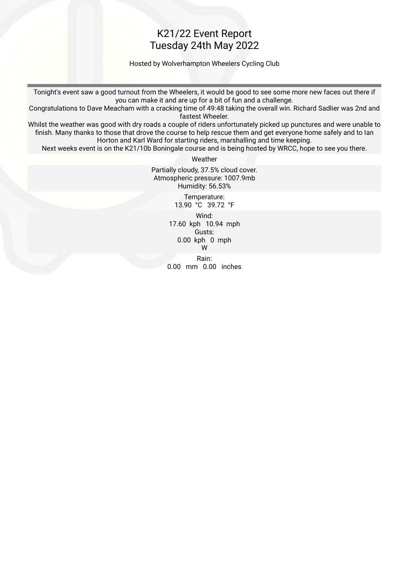### K21/22 Event Report Tuesday 24th May 2022

Hosted by Wolverhampton Wheelers Cycling Club

Tonight's event saw a good turnout from the Wheelers, it would be good to see some more new faces out there if you can make it and are up for a bit of fun and a challenge.

Congratulations to Dave Meacham with a cracking time of 49:48 taking the overall win. Richard Sadlier was 2nd and fastest Wheeler.

Whilst the weather was good with dry roads a couple of riders unfortunately picked up punctures and were unable to fnish. Many thanks to those that drove the course to help rescue them and get everyone home safely and to Ian Horton and Karl Ward for starting riders, marshalling and time keeping.

Next weeks event is on the K21/10b Boningale course and is being hosted by WRCC, hope to see you there.

Weather

Partially cloudy, 37.5% cloud cover. Atmospheric pressure: 1007.9mb Humidity: 56.53% Temperature:

13.90 °C 39.72 °F

 Wind: 17.60 kph 10.94 mph Gusts: 0.00 kph 0 mph W

 Rain: 0.00 mm 0.00 inches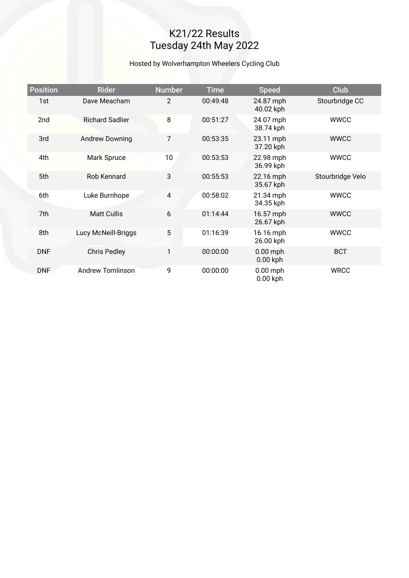# K21/22 Results Tuesday 24th May 2022

#### Hosted by Wolverhampton Wheelers Cycling Club

| <b>Position</b> | <b>Rider</b>            | <b>Number</b>  | <b>Time</b> | <b>Speed</b>             | <b>Club</b>      |
|-----------------|-------------------------|----------------|-------------|--------------------------|------------------|
| 1st             | Dave Meacham            | $\overline{2}$ | 00:49:48    | 24.87 mph<br>40.02 kph   | Stourbridge CC   |
| 2 <sub>nd</sub> | <b>Richard Sadlier</b>  | 8              | 00:51:27    | 24.07 mph<br>38.74 kph   | <b>WWCC</b>      |
| 3rd             | <b>Andrew Downing</b>   | $\overline{7}$ | 00:53:35    | 23.11 mph<br>37.20 kph   | <b>WWCC</b>      |
| 4th             | Mark Spruce             | 10             | 00:53:53    | 22.98 mph<br>36.99 kph   | <b>WWCC</b>      |
| 5th             | Rob Kennard             | 3              | 00:55:53    | 22.16 mph<br>35.67 kph   | Stourbridge Velo |
| 6th             | Luke Burnhope           | $\overline{4}$ | 00:58:02    | 21.34 mph<br>34.35 kph   | <b>WWCC</b>      |
| 7th             | <b>Matt Cullis</b>      | 6              | 01:14:44    | 16.57 mph<br>26.67 kph   | <b>WWCC</b>      |
| 8th             | Lucy McNeill-Briggs     | 5              | 01:16:39    | 16.16 mph<br>26.00 kph   | <b>WWCC</b>      |
| <b>DNF</b>      | <b>Chris Pedley</b>     | 1              | 00:00:00    | $0.00$ mph<br>$0.00$ kph | <b>BCT</b>       |
| <b>DNF</b>      | <b>Andrew Tomlinson</b> | 9              | 00:00:00    | $0.00$ mph<br>$0.00$ kph | <b>WRCC</b>      |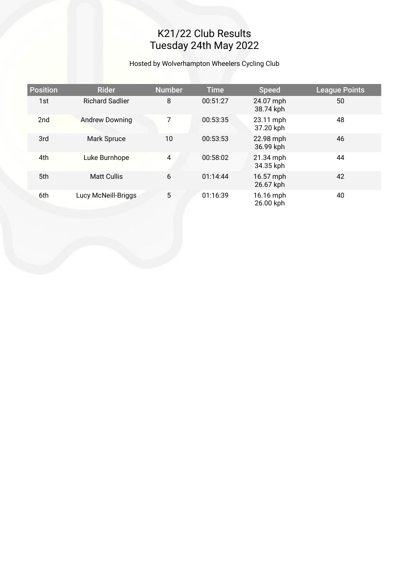# K21/22 Club Results Tuesday 24th May 2022

#### Hosted by Wolverhampton Wheelers Cycling Club

| <b>Position</b> | <b>Rider</b>           | <b>Number</b> | <b>Time</b> | <b>Speed</b>           | League Points |
|-----------------|------------------------|---------------|-------------|------------------------|---------------|
| 1st             | <b>Richard Sadlier</b> | 8             | 00:51:27    | 24.07 mph<br>38.74 kph | 50            |
| 2nd             | <b>Andrew Downing</b>  | 7             | 00:53:35    | 23.11 mph<br>37.20 kph | 48            |
| 3rd             | <b>Mark Spruce</b>     | 10            | 00:53:53    | 22.98 mph<br>36.99 kph | 46            |
| 4th             | Luke Burnhope          | 4             | 00:58:02    | 21.34 mph<br>34.35 kph | 44            |
| 5th             | <b>Matt Cullis</b>     | 6             | 01:14:44    | 16.57 mph<br>26.67 kph | 42            |
| 6th             | Lucy McNeill-Briggs    | 5             | 01:16:39    | 16.16 mph<br>26.00 kph | 40            |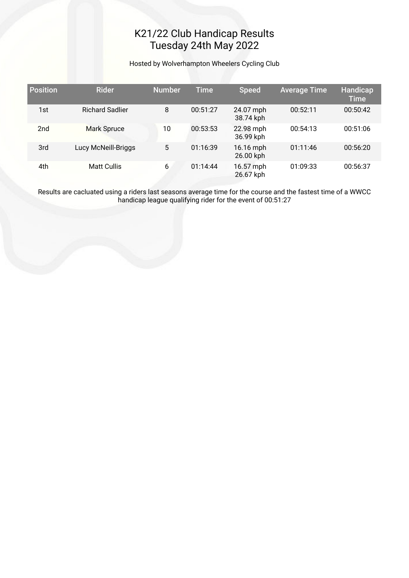# K21/22 Club Handicap Results Tuesday 24th May 2022

Hosted by Wolverhampton Wheelers Cycling Club

| <b>Position</b> | <b>Rider</b>           | <b>Number</b> | <b>Time</b> | <b>Speed</b>           | <b>Average Time</b> | Handicap<br><b>Time</b> |
|-----------------|------------------------|---------------|-------------|------------------------|---------------------|-------------------------|
| 1st             | <b>Richard Sadlier</b> | 8             | 00:51:27    | 24.07 mph<br>38.74 kph | 00:52:11            | 00:50:42                |
| 2 <sub>nd</sub> | <b>Mark Spruce</b>     | 10            | 00:53:53    | 22.98 mph<br>36.99 kph | 00:54:13            | 00:51:06                |
| 3rd             | Lucy McNeill-Briggs    | 5             | 01:16:39    | 16.16 mph<br>26.00 kph | 01:11:46            | 00:56:20                |
| 4th             | <b>Matt Cullis</b>     | 6             | 01:14:44    | 16.57 mph<br>26.67 kph | 01:09:33            | 00:56:37                |

Results are cacluated using a riders last seasons average time for the course and the fastest time of a WWCC handicap league qualifying rider for the event of 00:51:27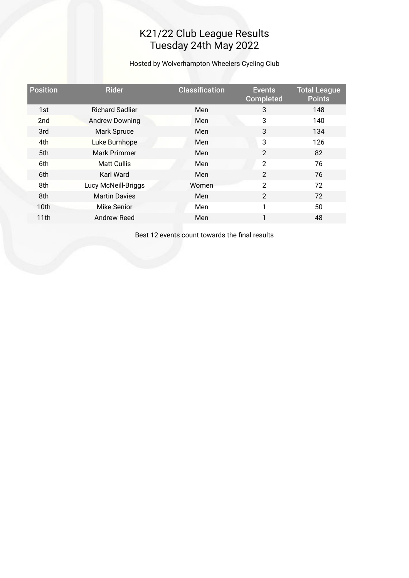## K21/22 Club League Results Tuesday 24th May 2022

Hosted by Wolverhampton Wheelers Cycling Club

| <b>Position</b>  | <b>Rider</b>           | <b>Classification</b> | <b>Events</b><br><b>Completed</b> | <b>Total League</b><br><b>Points</b> |
|------------------|------------------------|-----------------------|-----------------------------------|--------------------------------------|
| 1st              | <b>Richard Sadlier</b> | Men                   | 3                                 | 148                                  |
| 2 <sub>nd</sub>  | <b>Andrew Downing</b>  | Men                   | 3                                 | 140                                  |
| 3rd              | Mark Spruce            | Men                   | 3                                 | 134                                  |
| 4th              | Luke Burnhope          | Men                   | 3                                 | 126                                  |
| 5th              | Mark Primmer           | Men                   | $\overline{2}$                    | 82                                   |
| 6th              | <b>Matt Cullis</b>     | Men                   | $\overline{2}$                    | 76                                   |
| 6th              | Karl Ward              | Men                   | $\overline{2}$                    | 76                                   |
| 8th              | Lucy McNeill-Briggs    | Women                 | $\overline{2}$                    | 72                                   |
| 8th              | <b>Martin Davies</b>   | Men                   | $\overline{2}$                    | 72                                   |
| 10 <sub>th</sub> | <b>Mike Senior</b>     | Men                   | 1                                 | 50                                   |
| 11th             | Andrew Reed            | Men                   | 1                                 | 48                                   |

Best 12 events count towards the fnal results